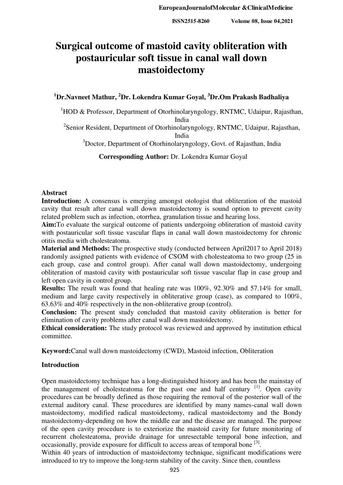# **Surgical outcome of mastoid cavity obliteration with postauricular soft tissue in canal wall down mastoidectomy**

## **<sup>1</sup>Dr.Navneet Mathur, <sup>2</sup>Dr. Lokendra Kumar Goyal, <sup>3</sup>Dr.Om Prakash Badhaliya**

 $1$ HOD & Professor, Department of Otorhinolaryngology, RNTMC, Udaipur, Rajasthan, India

<sup>2</sup> Senior Resident, Department of Otorhinolaryngology, RNTMC, Udaipur, Rajasthan, India

<sup>3</sup>Doctor, Department of Otorhinolaryngology, Govt. of Rajasthan, India

**Corresponding Author:** Dr. Lokendra Kumar Goyal

#### **Abstract**

**Introduction:** A consensus is emerging amongst otologist that obliteration of the mastoid cavity that result after canal wall down mastoidectomy is sound option to prevent cavity related problem such as infection, otorrhea, granulation tissue and hearing loss.

**Aim:**To evaluate the surgical outcome of patients undergoing obliteration of mastoid cavity with postauricular soft tissue vascular flaps in canal wall down mastoidectomy for chronic otitis media with cholesteatoma.

**Material and Methods:** The prospective study (conducted between April2017 to April 2018) randomly assigned patients with evidence of CSOM with cholesteatoma to two group (25 in each group, case and control group). After canal wall down mastoidectomy, undergoing obliteration of mastoid cavity with postauricular soft tissue vascular flap in case group and left open cavity in control group.

**Results:** The result was found that healing rate was 100%, 92.30% and 57.14% for small, medium and large cavity respectively in obliterative group (case), as compared to 100%, 63.63% and 40% respectively in the non-obliterative group (control).

**Conclusion:** The present study concluded that mastoid cavity obliteration is better for elimination of cavity problems after canal wall down mastoidectomy.

**Ethical consideration:** The study protocol was reviewed and approved by institution ethical committee.

**Keyword:**Canal wall down mastoidectomy (CWD), Mastoid infection, Obliteration

## **Introduction**

Open mastoidectomy technique has a long-distinguished history and has been the mainstay of the management of cholesteatoma for the past one and half century  $[1]$ . Open cavity procedures can be broadly defined as those requiring the removal of the posterior wall of the external auditory canal. These procedures are identified by many names-canal wall down mastoidectomy, modified radical mastoidectomy, radical mastoidectomy and the Bondy mastoidectomy-depending on how the middle ear and the disease are managed. The purpose of the open cavity procedure is to exteriorize the mastoid cavity for future monitoring of recurrent cholesteatoma, provide drainage for unresectable temporal bone infection, and occasionally, provide exposure for difficult to access areas of temporal bone <sup>[3]</sup>.

Within 40 years of introduction of mastoidectomy technique, significant modifications were introduced to try to improve the long-term stability of the cavity. Since then, countless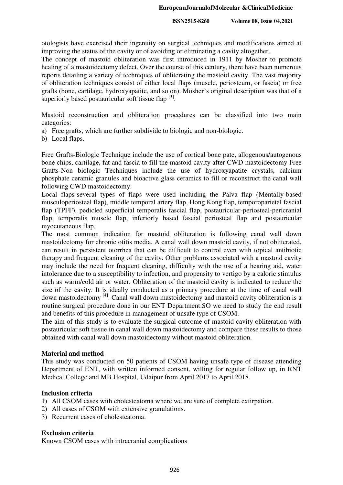otologists have exercised their ingenuity on surgical techniques and modifications aimed at improving the status of the cavity or of avoiding or eliminating a cavity altogether.

The concept of mastoid obliteration was first introduced in 1911 by Mosher to promote healing of a mastoidectomy defect. Over the course of this century, there have been numerous reports detailing a variety of techniques of obliterating the mastoid cavity. The vast majority of obliteration techniques consist of either local flaps (muscle, periosteum, or fascia) or free grafts (bone, cartilage, hydroxyapatite, and so on). Mosher's original description was that of a superiorly based postauricular soft tissue flap  $[3]$ .

Mastoid reconstruction and obliteration procedures can be classified into two main categories:

- a) Free grafts, which are further subdivide to biologic and non-biologic.
- b) Local flaps.

Free Grafts-Biologic Technique include the use of cortical bone pate, allogenous/autogenous bone chips, cartilage, fat and fascia to fill the mastoid cavity after CWD mastoidectomy Free Grafts-Non biologic Techniques include the use of hydroxyapatite crystals, calcium phosphate ceramic granules and bioactive glass ceramics to fill or reconstruct the canal wall following CWD mastoidectomy.

Local flaps-several types of flaps were used including the Palva flap (Mentally-based musculoperiosteal flap), middle temporal artery flap, Hong Kong flap, temporoparietal fascial flap (TPFF), pedicled superficial temporalis fascial flap, postauricular-periosteal-pericranial flap, temporalis muscle flap, inferiorly based fascial periosteal flap and postauricular myocutaneous flap.

The most common indication for mastoid obliteration is following canal wall down mastoidectomy for chronic otitis media. A canal wall down mastoid cavity, if not obliterated, can result in persistent otorrhea that can be difficult to control even with topical antibiotic therapy and frequent cleaning of the cavity. Other problems associated with a mastoid cavity may include the need for frequent cleaning, difficulty with the use of a hearing aid, water intolerance due to a susceptibility to infection, and propensity to vertigo by a caloric stimulus such as warm/cold air or water. Obliteration of the mastoid cavity is indicated to reduce the size of the cavity. It is ideally conducted as a primary procedure at the time of canal wall down mastoidectomy [4]. Canal wall down mastoidectomy and mastoid cavity obliteration is a routine surgical procedure done in our ENT Department.SO we need to study the end result and benefits of this procedure in management of unsafe type of CSOM.

The aim of this study is to evaluate the surgical outcome of mastoid cavity obliteration with postauricular soft tissue in canal wall down mastoidectomy and compare these results to those obtained with canal wall down mastoidectomy without mastoid obliteration.

## **Material and method**

This study was conducted on 50 patients of CSOM having unsafe type of disease attending Department of ENT, with written informed consent, willing for regular follow up, in RNT Medical College and MB Hospital, Udaipur from April 2017 to April 2018.

## **Inclusion criteria**

- 1) All CSOM cases with cholesteatoma where we are sure of complete extirpation.
- 2) All cases of CSOM with extensive granulations.
- 3) Recurrent cases of cholesteatoma.

## **Exclusion criteria**

Known CSOM cases with intracranial complications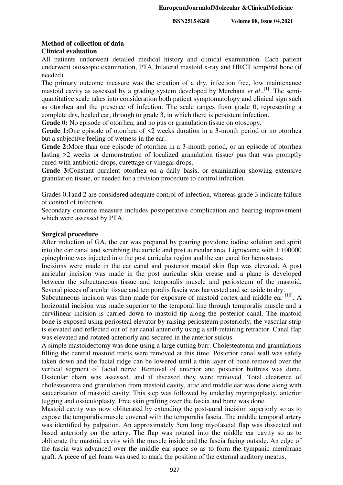#### **Method of collection of data Clinical evaluation**

All patients underwent detailed medical history and clinical examination. Each patient underwent otoscopic examination, PTA, bilateral mastoid x-ray and HRCT temporal bone (if needed).

The primary outcome measure was the creation of a dry, infection free, low maintenance mastoid cavity as assessed by a grading system developed by Merchant *et al.*,<sup>[1]</sup>. The semiquantitative scale takes into consideration both patient symptomatology and clinical sign such as otorrhea and the presence of infection. The scale ranges from grade 0, representing a complete dry, healed ear, through to grade 3, in which there is persistent infection.

Grade 0: No episode of otorrhea, and no pus or granulation tissue on otoscopy.

Grade 1:One episode of otorrhea of  $\leq 2$  weeks duration in a 3-month period or no otorrhea but a subjective feeling of wetness in the ear.

**Grade 2:**More than one episode of otorrhea in a 3-month period, or an episode of otorrhea lasting >2 weeks or demonstration of localized granulation tissue/ pus that was promptly cured with antibiotic drops, curettage or vinegar drops.

**Grade 3:**Constant purulent otorrhea on a daily basis, or examination showing extensive granulation tissue, or needed for a revision procedure to control infection.

Grades 0,1and 2 are considered adequate control of infection, whereas grade 3 indicate failure of control of infection.

Secondary outcome measure includes postoperative complication and hearing improvement which were assessed by PTA.

## **Surgical procedure**

After induction of GA, the ear was prepared by pouring povidone iodine solution and spirit into the ear canal and scrubbing the auricle and post auricular area. Lignocaine with 1:100000 epinephrine was injected into the post auricular region and the ear canal for hemostasis.

Incisions were made in the ear canal and posterior meatal skin flap was elevated. A post auricular incision was made in the post auricular skin crease and a plane is developed between the subcutaneous tissue and temporalis muscle and periosteum of the mastoid. Several pieces of areolar tissue and temporalis fascia was harvested and set aside to dry.

Subcutaneous incision was then made for exposure of mastoid cortex and middle ear  $[10]$ . A horizontal incision was made superior to the temporal line through temporalis muscle and a curvilinear incision is carried down to mastoid tip along the posterior canal. The mastoid bone is exposed using periosteal elevator by raising periosteum posteriorly, the vascular strip is elevated and reflected out of ear canal anteriorly using a self-retaining retractor. Canal flap was elevated and rotated anteriorly and secured in the anterior sulcus.

A simple mastoidectomy was done using a large cutting burr. Cholesteatoma and granulations filling the central mastoid tracts were removed at this time. Posterior canal wall was safely taken down and the facial ridge can be lowered until a thin layer of bone removed over the vertical segment of facial nerve. Removal of anterior and posterior buttress was done. Ossicular chain was assessed, and if diseased they were removed. Total clearance of cholesteatoma and granulation from mastoid cavity, attic and middle ear was done along with saucerization of mastoid cavity. This step was followed by underlay myringoplasty, anterior tugging and ossiculoplasty. Free skin grafting over the fascia and bone was done.

Mastoid cavity was now obliterated by extending the post-aural incision superiorly so as to expose the temporalis muscle covered with the temporalis fascia. The middle temporal artery was identified by palpation. An approximately 5cm long myofascial flap was dissected out based anteriorly on the artery. The flap was rotated into the middle ear cavity so as to obliterate the mastoid cavity with the muscle inside and the fascia facing outside. An edge of the fascia was advanced over the middle ear space so as to form the tympanic membrane graft. A piece of gel foam was used to mark the position of the external auditory meatus,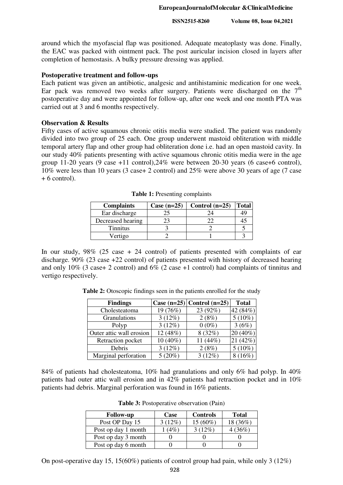around which the myofascial flap was positioned. Adequate meatoplasty was done. Finally, the EAC was packed with ointment pack. The post auricular incision closed in layers after completion of hemostasis. A bulky pressure dressing was applied.

## **Postoperative treatment and follow-ups**

Each patient was given an antibiotic, analgesic and antihistaminic medication for one week. Ear pack was removed two weeks after surgery. Patients were discharged on the  $7<sup>th</sup>$ postoperative day and were appointed for follow-up, after one week and one month PTA was carried out at 3 and 6 months respectively.

## **Observation & Results**

Fifty cases of active squamous chronic otitis media were studied. The patient was randomly divided into two group of 25 each. One group underwent mastoid obliteration with middle temporal artery flap and other group had obliteration done i.e. had an open mastoid cavity. In our study 40% patients presenting with active squamous chronic otitis media were in the age group 11-20 years (9 case +11 control),  $24\%$  were between 20-30 years (6 case+6 control), 10% were less than 10 years (3 case+ 2 control) and 25% were above 30 years of age (7 case  $+ 6$  control).

| <b>Complaints</b> | Case $(n=25)$ | Control $(n=25)$ | <b>Total</b> |
|-------------------|---------------|------------------|--------------|
| Ear discharge     | 25            |                  | 49           |
| Decreased hearing |               |                  | 41           |
| <b>Tinnitus</b>   |               |                  |              |
| Vertigo           |               |                  |              |

**Table 1:** Presenting complaints

In our study,  $98\%$  (25 case + 24 control) of patients presented with complaints of ear discharge. 90% (23 case +22 control) of patients presented with history of decreased hearing and only 10% (3 case+ 2 control) and 6% (2 case +1 control) had complaints of tinnitus and vertigo respectively.

**Table 2:** Otoscopic findings seen in the patients enrolled for the study

| <b>Findings</b>          |          | Case $(n=25)$ Control $(n=25)$ | <b>Total</b> |
|--------------------------|----------|--------------------------------|--------------|
| Cholesteatoma            | 19 (76%) | 23 (92%)                       | 42 (84%)     |
| Granulations             | 3(12%)   | 2(8%)                          | $5(10\%)$    |
| Polyp                    | 3(12%)   | $0(0\%)$                       | 3(6%)        |
| Outer attic wall erosion | 12 (48%) | 8(32%)                         | 20 (40%)     |
| Retraction pocket        | 10 (40%) | 11 (44%)                       | 21 (42%)     |
| Debris                   | 3(12%)   | 2(8%)                          | $5(10\%)$    |
| Marginal perforation     | 5(20%)   | 3(12%)                         | $8(16\%)$    |

84% of patients had cholesteatoma, 10% had granulations and only 6% had polyp. In 40% patients had outer attic wall erosion and in 42% patients had retraction pocket and in 10% patients had debris. Marginal perforation was found in 16% patients.

| <b>Follow-up</b>    | Case    | <b>Controls</b> | <b>Total</b> |
|---------------------|---------|-----------------|--------------|
| Post OP Day 15      | 3 (12%) | $15(60\%)$      | 18 (36%)     |
| Post op day 1 month | (4%)    | $3(12\%)$       | (36%)        |
| Post op day 3 month |         |                 |              |
| Post op day 6 month |         |                 |              |

**Table 3:** Postoperative observation (Pain)

On post-operative day 15, 15(60%) patients of control group had pain, while only 3 (12%)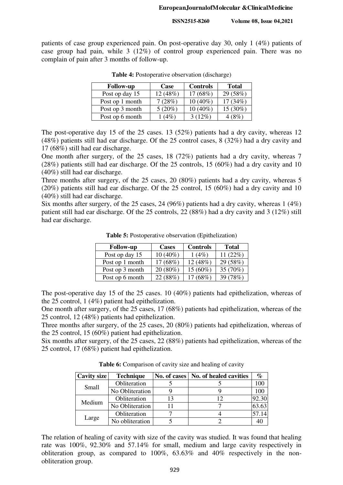patients of case group experienced pain. On post-operative day 30, only 1 (4%) patients of case group had pain, while 3 (12%) of control group experienced pain. There was no complain of pain after 3 months of follow-up.

| <b>Follow-up</b> | Case     | <b>Controls</b> | <b>Total</b> |
|------------------|----------|-----------------|--------------|
| Post op day 15   | 12 (48%) | 17(68%)         | 29 (58%)     |
| Post op 1 month  | 7(28%)   | $10(40\%)$      | 17(34%)      |
| Post op 3 month  | 5(20%)   | $10(40\%)$      | 15 (30%)     |
| Post op 6 month  | 1(4%)    | $3(12\%)$       | 4(8%)        |

**Table 4:** Postoperative observation (discharge)

The post-operative day 15 of the 25 cases. 13 (52%) patients had a dry cavity, whereas 12 (48%) patients still had ear discharge. Of the 25 control cases, 8 (32%) had a dry cavity and 17 (68%) still had ear discharge.

One month after surgery, of the 25 cases, 18 (72%) patients had a dry cavity, whereas 7 (28%) patients still had ear discharge. Of the 25 controls, 15 (60%) had a dry cavity and 10 (40%) still had ear discharge.

Three months after surgery, of the 25 cases, 20 (80%) patients had a dry cavity, whereas 5 (20%) patients still had ear discharge. Of the 25 control, 15 (60%) had a dry cavity and 10 (40%) still had ear discharge.

Six months after surgery, of the 25 cases, 24 (96%) patients had a dry cavity, whereas 1 (4%) patient still had ear discharge. Of the 25 controls, 22 (88%) had a dry cavity and 3 (12%) still had ear discharge.

| <b>Follow-up</b> | <b>Cases</b> | <b>Controls</b> | <b>Total</b> |
|------------------|--------------|-----------------|--------------|
| Post op day 15   | 10 (40%)     | 1(4%)           | 11 $(22%)$   |
| Post op 1 month  | 17(68%)      | 12 (48%)        | 29 (58%)     |
| Post op 3 month  | $20(80\%)$   | $15(60\%)$      | 35 (70%)     |
| Post op 6 month  | 22 (88%)     | 17(68%)         | 39 (78%)     |

**Table 5:** Postoperative observation (Epithelization)

The post-operative day 15 of the 25 cases. 10 (40%) patients had epithelization, whereas of the 25 control, 1 (4%) patient had epithelization.

One month after surgery, of the 25 cases, 17 (68%) patients had epithelization, whereas of the 25 control, 12 (48%) patients had epithelization.

Three months after surgery, of the 25 cases, 20 (80%) patients had epithelization, whereas of the 25 control, 15 (60%) patient had epithelization.

Six months after surgery, of the 25 cases, 22 (88%) patients had epithelization, whereas of the 25 control, 17 (68%) patient had epithelization.

Table 6: Comparison of cavity size and healing of cavity

| Cavity size | <b>Technique</b> | No. of cases | No. of healed cavities | %     |
|-------------|------------------|--------------|------------------------|-------|
| Small       | Obliteration     |              |                        | 100   |
|             | No Obliteration  |              |                        | 100   |
|             | Obliteration     |              | 12                     | 92.30 |
| Medium      | No Obliteration  |              |                        | 63.63 |
|             | Obliteration     |              |                        | 57.14 |
| Large       | No obliteration  |              |                        |       |

The relation of healing of cavity with size of the cavity was studied. It was found that healing rate was 100%, 92.30% and 57.14% for small, medium and large cavity respectively in obliteration group, as compared to 100%, 63.63% and 40% respectively in the nonobliteration group.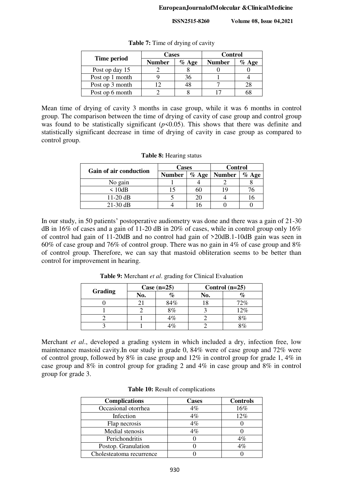|                 | <b>Cases</b>  |          | <b>Control</b> |         |
|-----------------|---------------|----------|----------------|---------|
| Time period     | <b>Number</b> | $\%$ Age | <b>Number</b>  | $%$ Age |
| Post op day 15  |               |          |                |         |
| Post op 1 month |               | 36       |                |         |
| Post op 3 month |               | 48       |                |         |
| Post op 6 month |               |          |                |         |

**Table 7:** Time of drying of cavity

Mean time of drying of cavity 3 months in case group, while it was 6 months in control group. The comparison between the time of drying of cavity of case group and control group was found to be statistically significant  $(p<0.05)$ . This shows that there was definite and statistically significant decrease in time of drying of cavity in case group as compared to control group.

|                        | <b>Cases</b>  |         | <b>Control</b> |          |
|------------------------|---------------|---------|----------------|----------|
| Gain of air conduction | <b>Number</b> | $%$ Age | <b>Number</b>  | $\%$ Age |
| No gain                |               |         |                |          |
| $\leq 10$ dB           |               | 60      |                |          |
| $11-20$ dB             |               | 20      |                |          |
| $21-30$ dB             |               |         |                |          |

| <b>Table 8:</b> Hearing status |  |
|--------------------------------|--|
|--------------------------------|--|

In our study, in 50 patients' postoperative audiometry was done and there was a gain of 21-30 dB in 16% of cases and a gain of 11-20 dB in 20% of cases, while in control group only 16% of control had gain of 11-20dB and no control had gain of >20dB.1-10dB gain was seen in 60% of case group and 76% of control group. There was no gain in 4% of case group and 8% of control group. Therefore, we can say that mastoid obliteration seems to be better than control for improvement in hearing.

|         | Case $(n=25)$ |               |     | Control $(n=25)$ |
|---------|---------------|---------------|-----|------------------|
| Grading | No.           | $\%$          | No. |                  |
|         |               | 84%           |     | 72%              |
|         |               | 8%            |     | 12%              |
|         |               | 4%            |     | 8%               |
|         |               | $\frac{1}{C}$ |     | 8%               |

**Table 9:** Merchant *et al*. grading for Clinical Evaluation

Merchant *et al*., developed a grading system in which included a dry, infection free, low maintenance mastoid cavity.In our study in grade 0, 84% were of case group and 72% were of control group, followed by 8% in case group and 12% in control group for grade 1, 4% in case group and 8% in control group for grading 2 and 4% in case group and 8% in control group for grade 3.

| <b>Complications</b>     | <b>Cases</b> | <b>Controls</b> |
|--------------------------|--------------|-----------------|
| Occasional otorrhea      | $4\%$        | 16%             |
| Infection                | $4\%$        | 12%             |
| Flap necrosis            | $4\%$        |                 |
| Medial stenosis          | $4\%$        |                 |
| Perichondritis           |              | $4\%$           |
| Postop. Granulation      |              | $4\%$           |
| Cholesteatoma recurrence |              |                 |

|  |  | Table 10: Result of complications |
|--|--|-----------------------------------|
|--|--|-----------------------------------|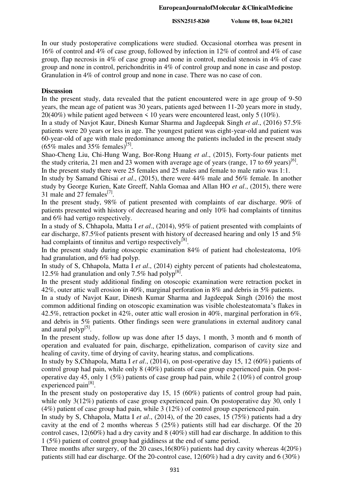In our study postoperative complications were studied. Occasional otorrhea was present in 16% of control and 4% of case group, followed by infection in 12% of control and 4% of case group, flap necrosis in 4% of case group and none in control, medial stenosis in 4% of case group and none in control, perichondritis in 4% of control group and none in case and postop. Granulation in 4% of control group and none in case. There was no case of con.

## **Discussion**

In the present study, data revealed that the patient encountered were in age group of 9-50 years, the mean age of patient was 30 years, patients aged between 11-20 years more in study, 20(40%) while patient aged between < 10 years were encountered least, only 5 (10%).

In a study of Navjot Kaur, Dinesh Kumar Sharma and Jagdeepak Singh *et al*., (2016) 57.5% patients were 20 years or less in age. The youngest patient was eight-year-old and patient was 60-year-old of age with male predominance among the patients included in the present study  $(65\%$  males and 35% females)<sup>[5]</sup>.

Shao-Cheng Liu, Chi-Hung Wang, Bor-Rong Huang *et al*., (2015), Forty-four patients met the study criteria, 21 men and 23 women with average age of years (range, 17 to 69 years)<sup>[6]</sup>.

In the present study there were 25 females and 25 males and female to male ratio was 1:1.

In study by Samand Ghisai *et al*., (2015), there were 44% male and 56% female. In another study by George Kurien, Kate Greeff, Nahla Gomaa and Allan HO *et al*., (2015), there were 31 male and 27 females $^{[7]}$ .

In the present study, 98% of patient presented with complaints of ear discharge. 90% of patients presented with history of decreased hearing and only 10% had complaints of tinnitus and 6% had vertigo respectively.

In a study of S, Chhapola, Matta I *et al*., (2014), 95% of patient presented with complaints of ear discharge, 87.5%of patients present with history of decreased hearing and only 15 and 5% had complaints of tinnitus and vertigo respectively<sup>[8]</sup>.

In the present study during otoscopic examination 84% of patient had cholesteatoma, 10% had granulation, and 6% had polyp.

In study of S, Chhapola, Matta I *et al*., (2014) eighty percent of patients had cholesteatoma, 12.5% had granulation and only 7.5% had polyp<sup>[8]</sup>.

In the present study additional finding on otoscopic examination were retraction pocket in 42%, outer attic wall erosion in 40%, marginal perforation in 8% and debris in 5% patients.

In a study of Navjot Kaur, Dinesh Kumar Sharma and Jagdeepak Singh (2016) the most common additional finding on otoscopic examination was visible cholesteatomata's flakes in 42.5%, retraction pocket in 42%, outer attic wall erosion in 40%, marginal perforation in 6%, and debris in 5% patients. Other findings seen were granulations in external auditory canal and aural polyp<sup>[5]</sup>.

In the present study, follow up was done after 15 days, 1 month, 3 month and 6 month of operation and evaluated for pain, discharge, epithelization, comparison of cavity size and healing of cavity, time of drying of cavity, hearing status, and complications.

In study by S,Chhapola, Matta I *et al*., (2014), on post-operative day 15, 12 (60%) patients of control group had pain, while only 8 (40%) patients of case group experienced pain. On postoperative day 45, only 1 (5%) patients of case group had pain, while 2 (10%) of control group experienced pain<sup>[8]</sup>.

In the present study on postoperative day 15, 15 (60%) patients of control group had pain, while only 3(12%) patients of case group experienced pain. On postoperative day 30, only 1 (4%) patient of case group had pain, while 3 (12%) of control group experienced pain.

In study by S, Chhapola, Matta I *et al*., (2014), of the 20 cases, 15 (75%) patients had a dry cavity at the end of 2 months whereas 5 (25%) patients still had ear discharge. Of the 20 control cases, 12(60%) had a dry cavity and 8 (40%) still had ear discharge. In addition to this 1 (5%) patient of control group had giddiness at the end of same period.

Three months after surgery, of the 20 cases,16(80%) patients had dry cavity whereas 4(20%) patients still had ear discharge. Of the 20-control case, 12(60%) had a dry cavity and 6 (30%)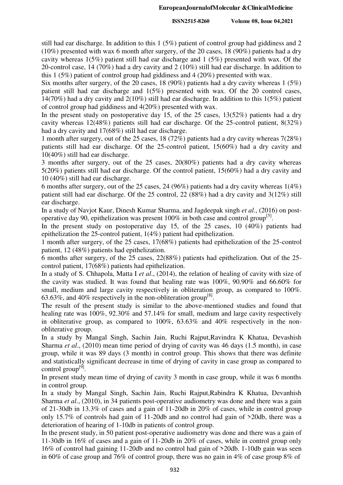still had ear discharge. In addition to this  $1 (5\%)$  patient of control group had giddiness and 2 (10%) presented with wax 6 month after surgery, of the 20 cases, 18 (90%) patients had a dry cavity whereas 1(5%) patient still had ear discharge and 1 (5%) presented with wax. Of the 20-control case, 14 (70%) had a dry cavity and 2 (10%) still had ear discharge. In addition to this 1 (5%) patient of control group had giddiness and 4 (20%) presented with wax.

Six months after surgery, of the 20 cases, 18 (90%) patients had a dry cavity whereas 1 (5%) patient still had ear discharge and 1(5%) presented with wax. Of the 20 control cases, 14(70%) had a dry cavity and 2(10%) still had ear discharge. In addition to this 1(5%) patient of control group had giddiness and 4(20%) presented with wax.

In the present study on postoperative day 15, of the 25 cases, 13(52%) patients had a dry cavity whereas 12(48%) patients still had ear discharge. Of the 25-control patient, 8(32%) had a dry cavity and 17(68%) still had ear discharge.

1 month after surgery, out of the 25 cases, 18 (72%) patients had a dry cavity whereas 7(28%) patients still had ear discharge. Of the 25-control patient, 15(60%) had a dry cavity and 10(40%) still had ear discharge.

3 months after surgery, out of the 25 cases, 20(80%) patients had a dry cavity whereas 5(20%) patients still had ear discharge. Of the control patient, 15(60%) had a dry cavity and 10 (40%) still had ear discharge.

6 months after surgery, out of the 25 cases, 24 (96%) patients had a dry cavity whereas 1(4%) patient still had ear discharge. Of the 25 control, 22 (88%) had a dry cavity and 3(12%) still ear discharge.

In a study of Navjot Kaur, Dinesh Kumar Sharma, and Jagdeepak singh *et al*., (2016) on postoperative day 90, epithelization was present  $100\%$  in both case and control group<sup>[5]</sup>.

In the present study on postoperative day 15, of the 25 cases, 10 (40%) patients had epithelization the 25-control patient, 1(4%) patient had epithelization.

1 month after surgery, of the 25 cases, 17(68%) patients had epithelization of the 25-control patient, 12 (48%) patients had epithelization.

6 months after surgery, of the 25 cases, 22(88%) patients had epithelization. Out of the 25 control patient, 17(68%) patients had epithelization.

In a study of S. Chhapola, Matta I *et al*., (2014), the relation of healing of cavity with size of the cavity was studied. It was found that healing rate was 100%, 90.90% and 66.60% for small, medium and large cavity respectively in obliteration group, as compared to 100%. 63.63%, and 40% respectively in the non-obliteration group<sup>[8]</sup>.

The result of the present study is similar to the above-mentioned studies and found that healing rate was 100%, 92.30% and 57.14% for small, medium and large cavity respectively in obliterative group, as compared to 100%, 63.63% and 40% respectively in the nonobliterative group.

In a study by Mangal Singh, Sachin Jain, Ruchi Rajput,Ravindra K Khatua, Devashish Sharma *et al*., (2010) mean time period of drying of cavity was 46 days (1.5 month), in case group, while it was 89 days (3 month) in control group. This shows that there was definite and statistically significant decrease in time of drying of cavity in case group as compared to control group<sup>[9]</sup>.

In present study mean time of drying of cavity 3 month in case group, while it was 6 months in control group.

In a study by Mangal Singh, Sachin Jain, Ruchi Rajput,Rabindra K Khatua, Devanhish Sharma *et al*., (2010), in 34 patients post-operative audiometry was done and there was a gain of 21-30db in 13.3% of cases and a gain of 11-20db in 20% of cases, while in control group only 15.7% of controls had gain of 11-20db and no control had gain of >20db, there was a deterioration of hearing of 1-10db in patients of control group.

In the present study, in 50 patient post-operative audiometry was done and there was a gain of 11-30db in 16% of cases and a gain of 11-20db in 20% of cases, while in control group only 16% of control had gaining 11-20db and no control had gain of >20db. 1-10db gain was seen in 60% of case group and 76% of control group, there was no gain in 4% of case group 8% of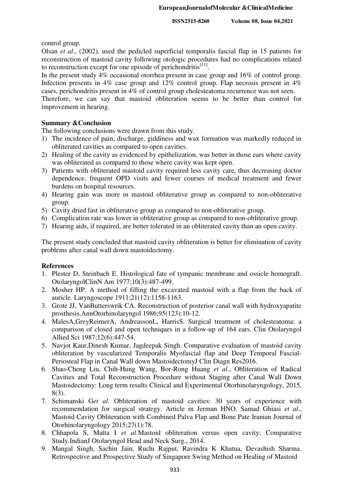control group.

Olsan *et al*., (2002), used the pedicled superficial temporalis fascial flap in 15 patients for reconstruction of mastoid cavity following otologic procedures had no complications related to reconstruction except for one episode of perichondritis $[11]$ .

In the present study 4% occasional otorrhea present in case group and 16% of control group. Infection presents in 4% case group and 12% control group. Flap necrosis present in 4% cases, perichondritis present in 4% of control group cholesteatoma recurrence was not seen.

Therefore, we can say that mastoid obliteration seems to be better than control for improvement in hearing.

## **Summary &Conclusion**

The following conclusions were drawn from this study.

- 1) The incidence of pain, discharge, giddiness and wax formation was markedly reduced in obliterated cavities as compared to open cavities.
- 2) Healing of the cavity as evidenced by epithelization, was better in those ears where cavity was obliterated as compared to those where cavity was kept open.
- 3) Patients with obliterated mastoid cavity required less cavity care, thus decreasing doctor dependence, frequent OPD visits and fewer courses of medical treatment and fewer burdens on hospital resources.
- 4) Hearing gain was more in mastoid obliterative group as compared to non-obliterative group.
- 5) Cavity dried fast in obliterative group as compared to non-obliterative group.
- 6) Complication rate was lower in obliterative group as compared to non-obliterative group.
- 7) Hearing aids, if required, are better tolerated in an obliterated cavity than an open cavity.

The present study concluded that mastoid cavity obliteration is better for elimination of cavity problems after canal wall down mastoidectomy.

#### **References**

- 1. Plester D, Steinbach E. Histological fate of tympanic membrane and ossicle homograft. OtolaryngolClinN Am 1977;10(3):487-499.
- 2. Mosher HP. A method of filling the excavated mastoid with a flap from the back of auricle. Laryngoscope 1911;21(12):1158-1163.
- 3. Grote JJ, VanButterswrik CA. Reconstruction of posterior canal wall with hydroxyapatite prosthesis.AnnOtorhinolaryngol 1986;95(123):10-12.
- 4. MalesA,GreyReimerA, AndreassonL, HarrisS. Surgical treatment of cholesteatoma: a comparison of closed and open techniques in a follow-up of 164 ears. Clin Otolaryngol Allied Sci 1987;12(6):447-54.
- 5. Navjot Kaur,Dinesh Kumar, Jagdeepak Singh. Comparative evaluation of mastoid cavity obliteration by vascularized Temporalis Myofascial flap and Deep Temporal Fascial-Periosteal Flap in Canal Wall down MastoidectomyJ Clin Diagn Res2016.
- 6. Shao-Cheng Liu, Chih-Hung Wang, Bor-Rong Huang *et al*., Obliteration of Radical Cavities and Total Reconstruction Procedure without Staging after Canal Wall Down Mastoidectomy: Long term results Clinical and Experimental Otorhinolaryngology, 2015, 8(3).
- 7. Schimanski G*et al*. Obliteration of mastoid cavities: 30 years of experience with recommendation for surgical strategy. Article in Jerman HNO. Samad Ghiasi *et al*., Mastoid Cavity Obliteration with Combined Palva Flap and Bone Pate Iranian Journal of Otorhinolaryngology 2015;27(1):78.
- 8. Chhapola S, Matta I *et al*.Mastoid obliteration versus open cavity; Comparative Study.IndianJ Otolaryngol Head and Neck Surg., 2014.
- 9. Mangal Singh, Sachin Jain, Ruchi Rajput, Ravindra K Khatua, Devashish Sharma. Retrospective and Prospective Study of Singapore Swing Method on Healing of Mastoid